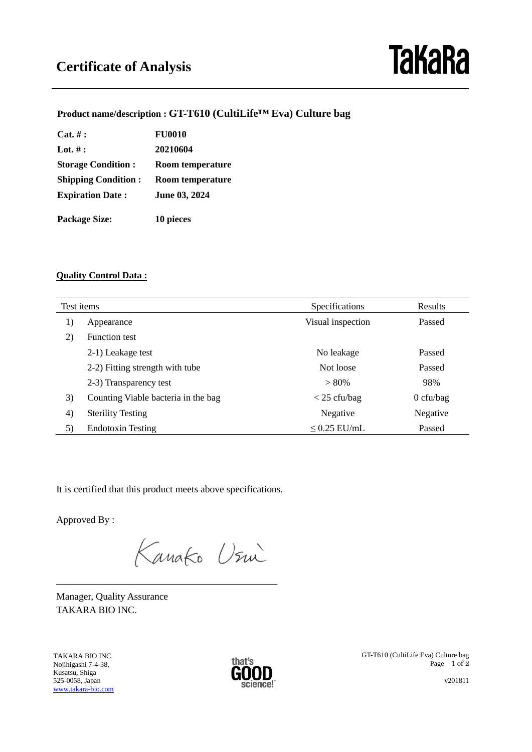# **TaKaRa**

## **Product name/description : GT-T610 (CultiLife™ Eva) Culture bag**

| $Cat. \# :$                | <b>FU0010</b>           |  |
|----------------------------|-------------------------|--|
| Lot. $#$ :                 | 20210604                |  |
| <b>Storage Condition:</b>  | <b>Room temperature</b> |  |
| <b>Shipping Condition:</b> | Room temperature        |  |
| <b>Expiration Date:</b>    | June 03, 2024           |  |
| <b>Package Size:</b>       | 10 pieces               |  |

### **Quality Control Data :**

| Test items |                                     | Specifications    | Results     |
|------------|-------------------------------------|-------------------|-------------|
| 1)         | Appearance                          | Visual inspection | Passed      |
| 2)         | <b>Function test</b>                |                   |             |
|            | 2-1) Leakage test                   | No leakage        | Passed      |
|            | 2-2) Fitting strength with tube     | Not loose         | Passed      |
|            | 2-3) Transparency test              | $> 80\%$          | 98%         |
| 3)         | Counting Viable bacteria in the bag | $<$ 25 cfu/bag    | $0$ cfu/bag |
| 4)         | <b>Sterility Testing</b>            | Negative          | Negative    |
| 5)         | <b>Endotoxin Testing</b>            | $\leq$ 0.25 EU/mL | Passed      |

It is certified that this product meets above specifications.

Approved By :

 $\overline{a}$ 

Kanako Usin

Manager, Quality Assurance TAKARA BIO INC.

TAKARA BIO INC. Nojihigashi 7-4-38, Kusatsu, Shiga 525-0058, Japan [www.takara-bio.com](http://www.takara-bio.com/)



GT-T610 (CultiLife Eva) Culture bag Page 1 of 2